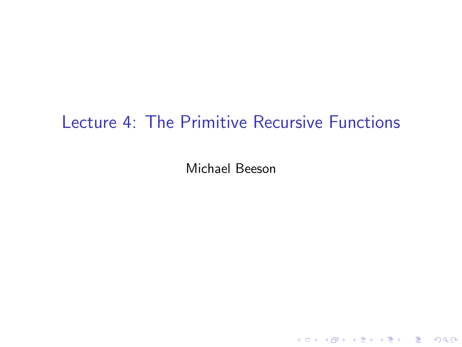# <span id="page-0-0"></span>Lecture 4: The Primitive Recursive Functions

Michael Beeson

K ロ ▶ K @ ▶ K 할 ▶ K 할 ▶ ... 할 ... 9 Q Q\*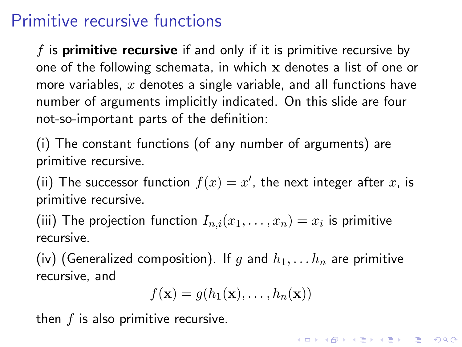# Primitive recursive functions

f is **primitive recursive** if and only if it is primitive recursive by one of the following schemata, in which x denotes a list of one or more variables,  $x$  denotes a single variable, and all functions have number of arguments implicitly indicated. On this slide are four not-so-important parts of the definition:

(i) The constant functions (of any number of arguments) are primitive recursive.

(ii) The successor function  $f(x) = x'$ , the next integer after x, is primitive recursive.

(iii) The projection function  $I_{n,i}(x_1,\ldots,x_n)=x_i$  is primitive recursive.

(iv) (Generalized composition). If g and  $h_1, \ldots h_n$  are primitive recursive, and

$$
f(\mathbf{x}) = g(h_1(\mathbf{x}), \dots, h_n(\mathbf{x}))
$$

then  $f$  is also primitive recursive.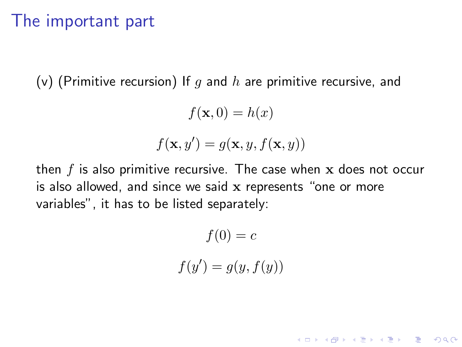### The important part

(v) (Primitive recursion) If q and h are primitive recursive, and

$$
f(\mathbf{x},0) = h(x)
$$

$$
f(\mathbf{x}, y') = g(\mathbf{x}, y, f(\mathbf{x}, y))
$$

then  $f$  is also primitive recursive. The case when  $x$  does not occur is also allowed, and since we said x represents "one or more variables", it has to be listed separately:

 $f(0) = c$ 

$$
f(y') = g(y, f(y))
$$

K ロ ▶ K @ ▶ K 할 > K 할 > 1 할 > 1 이익어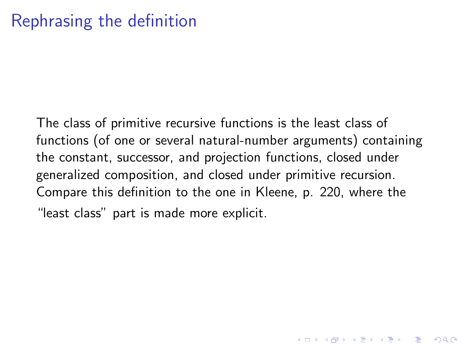# Rephrasing the definition

The class of primitive recursive functions is the least class of functions (of one or several natural-number arguments) containing the constant, successor, and projection functions, closed under generalized composition, and closed under primitive recursion. Compare this definition to the one in Kleene, p. 220, where the "least class" part is made more explicit.

**K ロ ▶ K @ ▶ K 할 X K 할 X - 할 X - 9 Q Q ^**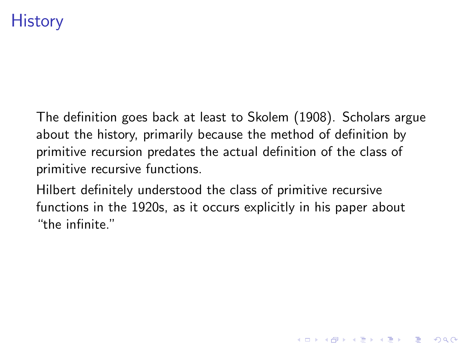# **History**

The definition goes back at least to Skolem (1908). Scholars argue about the history, primarily because the method of definition by primitive recursion predates the actual definition of the class of primitive recursive functions.

Hilbert definitely understood the class of primitive recursive functions in the 1920s, as it occurs explicitly in his paper about "the infinite."

**KORKAR KERKER E VOOR**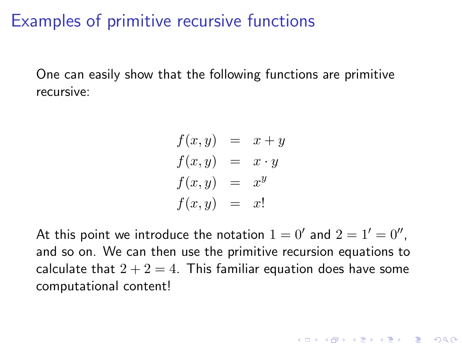## Examples of primitive recursive functions

One can easily show that the following functions are primitive recursive:

$$
f(x, y) = x + y
$$
  
\n
$$
f(x, y) = x \cdot y
$$
  
\n
$$
f(x, y) = x^{y}
$$
  
\n
$$
f(x, y) = x!
$$

At this point we introduce the notation  $1 = 0'$  and  $2 = 1' = 0''$ , and so on. We can then use the primitive recursion equations to calculate that  $2 + 2 = 4$ . This familiar equation does have some computational content!

**K ロ ▶ K @ ▶ K 할 X K 할 X - 할 X - 9 Q Q ^**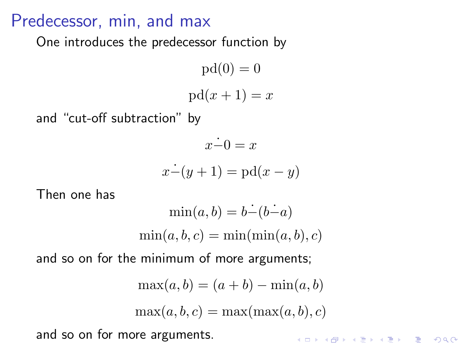## Predecessor, min, and max

One introduces the predecessor function by

 $pd(0) = 0$  $pd(x + 1) = x$ 

and "cut-off subtraction" by

$$
\begin{aligned}\n\dot{x-0} &= x\\ \n\dot{x-}(y+1) &= \text{pd}(x-y)\n\end{aligned}
$$

Then one has

$$
\min(a, b) = b - (b - a)
$$
  

$$
\min(a, b, c) = \min(\min(a, b), c)
$$

and so on for the minimum of more arguments;

$$
\max(a, b) = (a + b) - \min(a, b)
$$

$$
\max(a, b, c) = \max(\max(a, b), c)
$$
ore arguments.

and so on for more arguments.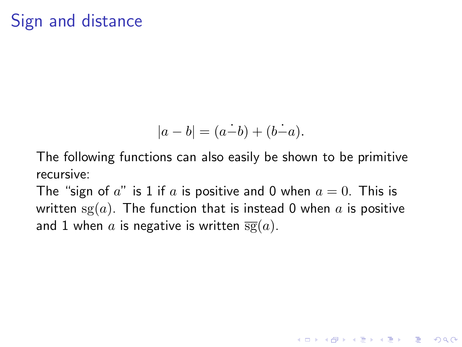# Sign and distance

$$
|a - b| = (a - b) + (b - a).
$$

The following functions can also easily be shown to be primitive recursive:

The "sign of a" is 1 if a is positive and 0 when  $a = 0$ . This is written  $sg(a)$ . The function that is instead 0 when a is positive and 1 when a is negative is written  $\overline{sg}(a)$ .

**K ロ ▶ K @ ▶ K 할 X K 할 X - 할 X - 9 Q Q ^**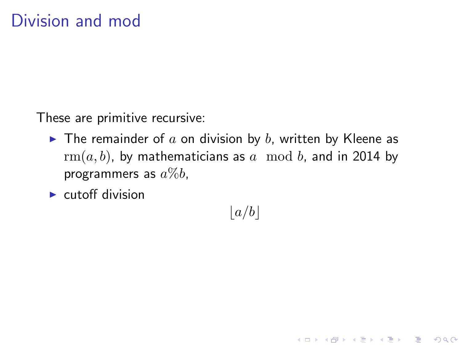These are primitive recursive:

- $\blacktriangleright$  The remainder of a on division by b, written by Kleene as  $rm(a, b)$ , by mathematicians as a mod b, and in 2014 by programmers as  $a\%b$ ,
- $\blacktriangleright$  cutoff division

 $|a/b|$ 

K ロ ▶ K @ ▶ K 할 > K 할 > 1 할 > 1 이익어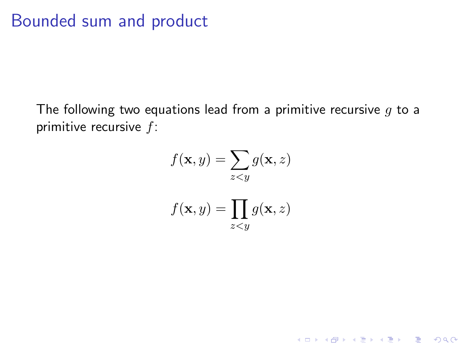## Bounded sum and product

The following two equations lead from a primitive recursive  $g$  to a primitive recursive  $f$ :

$$
f(\mathbf{x}, y) = \sum_{z < y} g(\mathbf{x}, z)
$$

$$
f(\mathbf{x}, y) = \prod_{z < y} g(\mathbf{x}, z)
$$

K ロ ▶ K @ ▶ K 할 ▶ K 할 ▶ | 할 | 19 Q Q ·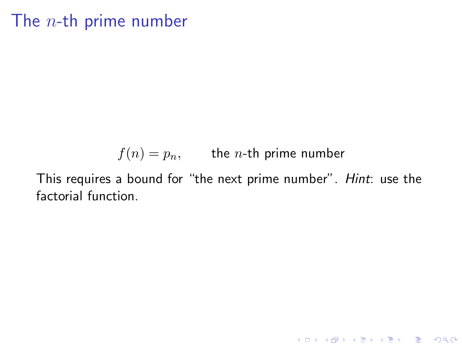# The  $n$ -th prime number

$$
f(n) = p_n, \qquad \text{the } n\text{-th prime number}
$$

This requires a bound for "the next prime number". Hint: use the factorial function.

K ロ ▶ K @ ▶ K 할 ▶ K 할 ▶ | 할 | 19 Q Q ·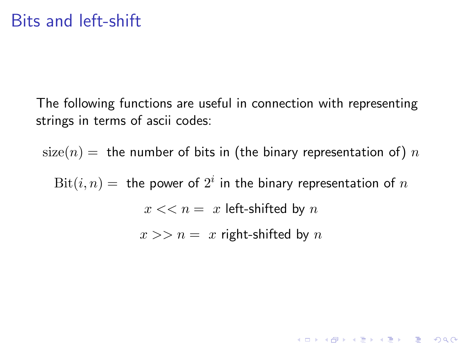The following functions are useful in connection with representing strings in terms of ascii codes:

 $size(n) =$  the number of bits in (the binary representation of) n

 $\mathrm{Bit}(i,n)=\,$  the power of  $2^i$  in the binary representation of  $n$  $x \ll n = x$  left-shifted by n

 $x >> n = x$  right-shifted by n

K ロ ▶ K @ ▶ K 할 > K 할 > 1 할 > 1 이익어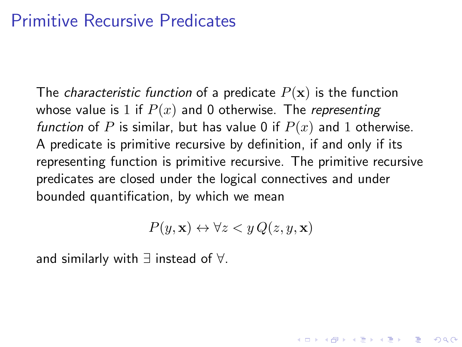## Primitive Recursive Predicates

The *characteristic function* of a predicate  $P(x)$  is the function whose value is 1 if  $P(x)$  and 0 otherwise. The *representing* function of P is similar, but has value 0 if  $P(x)$  and 1 otherwise. A predicate is primitive recursive by definition, if and only if its representing function is primitive recursive. The primitive recursive predicates are closed under the logical connectives and under bounded quantification, by which we mean

$$
P(y, \mathbf{x}) \leftrightarrow \forall z < y \, Q(z, y, \mathbf{x})
$$

**KORKAR KERKER E VOOR** 

and similarly with ∃ instead of ∀.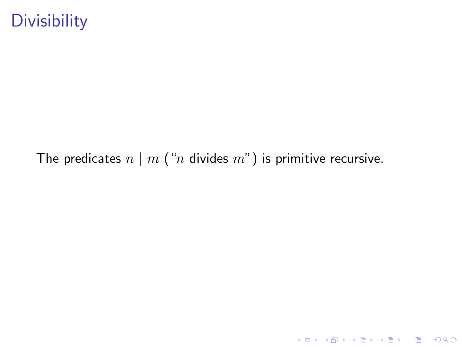# **Divisibility**

The predicates  $n \mid m$  ("*n* divides  $m$ ") is primitive recursive.

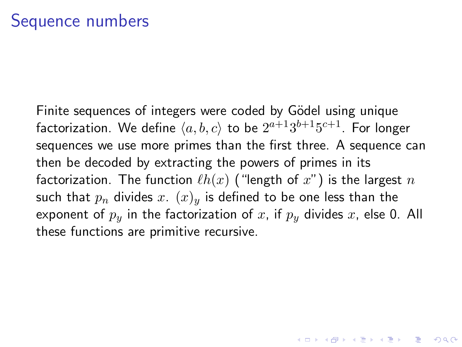Finite sequences of integers were coded by Gödel using unique factorization. We define  $\langle a, b, c \rangle$  to be  $2^{a+1}3^{b+1}5^{c+1}.$  For longer sequences we use more primes than the first three. A sequence can then be decoded by extracting the powers of primes in its factorization. The function  $\ell h(x)$  ("length of x") is the largest n such that  $p_n$  divides x.  $(x)_y$  is defined to be one less than the exponent of  $p_y$  in the factorization of x, if  $p_y$  divides x, else 0. All these functions are primitive recursive.

**KORKAR KERKER E VOOR**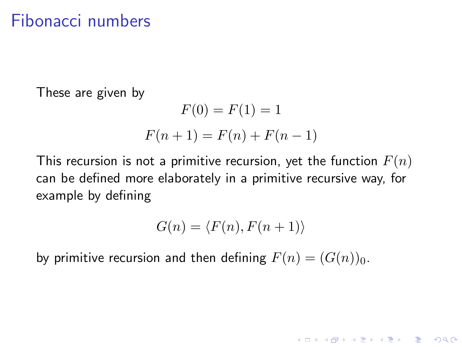## Fibonacci numbers

These are given by

$$
F(0) = F(1) = 1
$$
  

$$
F(n + 1) = F(n) + F(n - 1)
$$

This recursion is not a primitive recursion, yet the function  $F(n)$ can be defined more elaborately in a primitive recursive way, for example by defining

$$
G(n) = \langle F(n), F(n+1) \rangle
$$

K ロ ▶ K @ ▶ K 할 > K 할 > 1 할 > 1 이익어

by primitive recursion and then defining  $F(n) = (G(n))_0$ .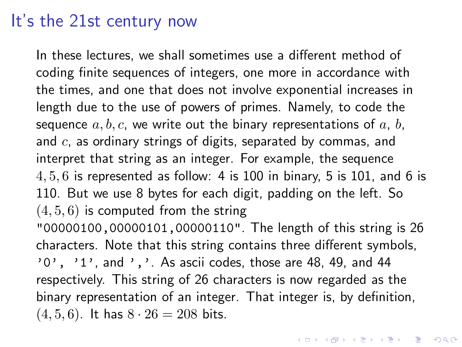## It's the 21st century now

<span id="page-16-0"></span>In these lectures, we shall sometimes use a different method of coding finite sequences of integers, one more in accordance with the times, and one that does not involve exponential increases in length due to the use of powers of primes. Namely, to code the sequence  $a, b, c$ , we write out the binary representations of  $a, b, c$ and  $c$ , as ordinary strings of digits, separated by commas, and interpret that string as an integer. For example, the sequence  $4, 5, 6$  is represented as follow: 4 is 100 in binary, 5 is 101, and 6 is 110. But we use 8 bytes for each digit, padding on the left. So  $(4, 5, 6)$  is computed from the string "00000100,00000101,00000110". The length of this string is 26 characters. Note that this string contains three different symbols,  $'0'$ ,  $'1'$ , and  $'$ ,  $'$ . As ascii codes, those are 48, 49, and 44 respectively. This string of 26 characters is now regarded as the binary representation of an integer. That integer is, by definition,  $(4, 5, 6)$ . It has  $8 \cdot 26 = 208$  bits.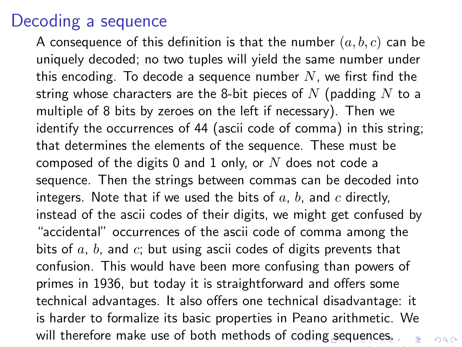## Decoding a sequence

<span id="page-17-0"></span>A consequence of this definition is that the number  $(a, b, c)$  can be uniquely decoded; no two tuples will yield the same number under this encoding. To decode a sequence number  $N$ , we first find the string whose characters are the 8-bit pieces of  $N$  (padding  $N$  to a multiple of 8 bits by zeroes on the left if necessary). Then we identify the occurrences of 44 (ascii code of comma) in this string; that determines the elements of the sequence. These must be composed of the digits 0 and 1 only, or  $N$  does not code a sequence. Then the strings between commas can be decoded into integers. Note that if we used the bits of  $a, b$ , and  $c$  directly, instead of the ascii codes of their digits, we might get confused by "accidental" occurrences of the ascii code of comma among the bits of  $a, b$ , and  $c$ ; but using ascii codes of digits prevents that confusion. This would have been more confusing than powers of primes in 1936, but today it is straightforward and offers some technical advantages. It also offers one technical disadvantage: it is harder to formalize its basic properties in Peano arithmetic. We will therefore make use of both methods of [co](#page-16-0)d[in](#page-18-0)[g](#page-16-0) [s](#page-17-0)[eq](#page-18-0)[ue](#page-0-0)[nc](#page-22-0)[es](#page-0-0)[.](#page-22-0)

 $299$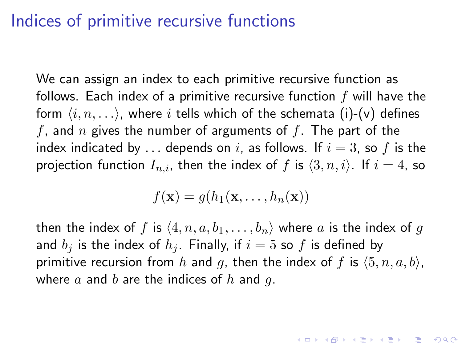## Indices of primitive recursive functions

We can assign an index to each primitive recursive function as follows. Each index of a primitive recursive function  $f$  will have the form  $\langle i, n, \ldots \rangle$ , where i tells which of the schemata (i)-(v) defines f, and n gives the number of arguments of f. The part of the index indicated by ... depends on i, as follows. If  $i = 3$ , so f is the projection function  $I_{n,i}$ , then the index of f is  $\langle 3, n, i \rangle$ . If  $i = 4$ , so

$$
f(\mathbf{x}) = g(h_1(\mathbf{x}, \dots, h_n(\mathbf{x}))
$$

<span id="page-18-0"></span>then the index of f is  $\langle 4, n, a, b_1, \ldots, b_n \rangle$  where a is the index of g and  $b_i$  is the index of  $h_i$ . Finally, if  $i = 5$  so f is defined by primitive recursion from h and g, then the index of f is  $(5, n, a, b)$ , where  $a$  and  $b$  are the indices of  $h$  and  $q$ .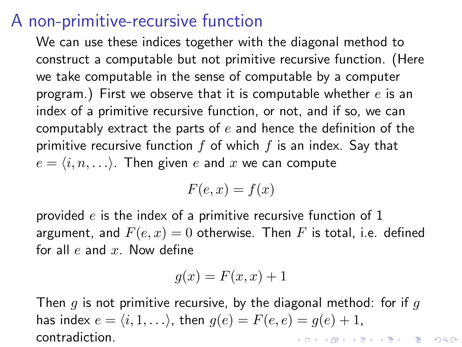## A non-primitive-recursive function

We can use these indices together with the diagonal method to construct a computable but not primitive recursive function. (Here we take computable in the sense of computable by a computer program.) First we observe that it is computable whether  $e$  is an index of a primitive recursive function, or not, and if so, we can computably extract the parts of  $e$  and hence the definition of the primitive recursive function  $f$  of which  $f$  is an index. Say that  $e = \langle i, n, \ldots \rangle$ . Then given e and x we can compute

$$
F(e, x) = f(x)
$$

provided  $e$  is the index of a primitive recursive function of 1 argument, and  $F(e, x) = 0$  otherwise. Then F is total, i.e. defined for all  $e$  and  $x$ . Now define

$$
g(x) = F(x, x) + 1
$$

Then g is not primitive recursive, by the diagonal method: for if g has index  $e = \langle i, 1, \ldots \rangle$ , then  $g(e) = F(e, e) = g(e) + 1$ , contradiction.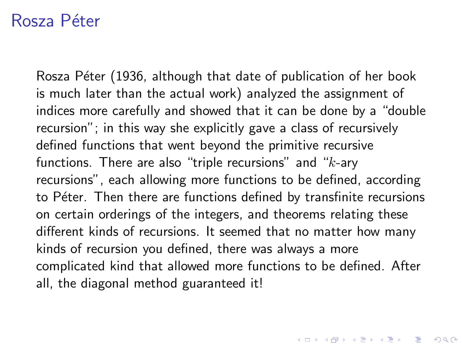## Rosza Péter

<span id="page-20-0"></span>Rosza Péter (1936, although that date of publication of her book is much later than the actual work) analyzed the assignment of indices more carefully and showed that it can be done by a "double recursion"; in this way she explicitly gave a class of recursively defined functions that went beyond the primitive recursive functions. There are also "triple recursions" and " $k$ -ary recursions", each allowing more functions to be defined, according to Péter. Then there are functions defined by transfinite recursions on certain orderings of the integers, and theorems relating these different kinds of recursions. It seemed that no matter how many kinds of recursion you defined, there was always a more complicated kind that allowed more functions to be defined. After all, the diagonal method guaranteed it!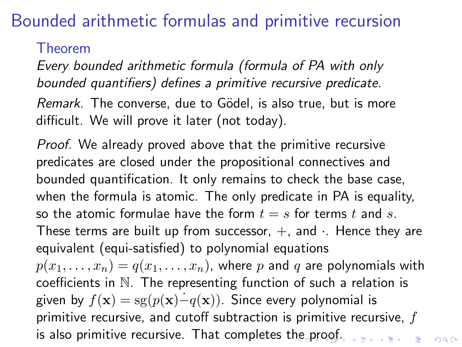# Bounded arithmetic formulas and primitive recursion

Theorem

Every bounded arithmetic formula (formula of PA with only bounded quantifiers) defines a primitive recursive predicate.

Remark. The converse, due to Gödel, is also true, but is more difficult. We will prove it later (not today).

Proof. We already proved above that the primitive recursive predicates are closed under the propositional connectives and bounded quantification. It only remains to check the base case, when the formula is atomic. The only predicate in PA is equality, so the atomic formulae have the form  $t = s$  for terms t and s. These terms are built up from successor,  $+$ , and  $\cdot$ . Hence they are equivalent (equi-satisfied) to polynomial equations

<span id="page-21-0"></span> $p(x_1, \ldots, x_n) = q(x_1, \ldots, x_n)$ , where p and q are polynomials with coefficients in N. The representing function of such a relation is given by  $f(\mathbf{x}) = s g(p(\mathbf{x})-q(\mathbf{x}))$ . Since every polynomial is primitive recursive, and cutoff subtraction is primitive recursive,  $f$ is also primitive recursive. That completes t[he](#page-20-0) [pr](#page-22-0)[o](#page-20-0)[of.](#page-21-0)  $000$